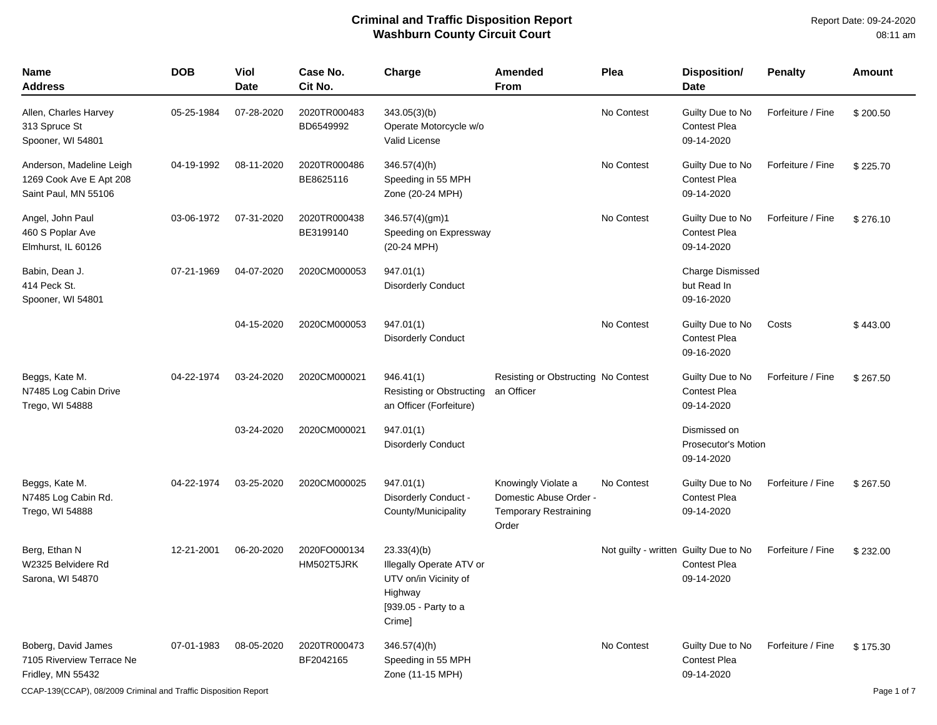| <b>Name</b><br><b>Address</b>                                               | <b>DOB</b> | Viol<br><b>Date</b> | Case No.<br>Cit No.        | Charge                                                                                                        | <b>Amended</b><br><b>From</b>                                                          | Plea                                  | <b>Disposition/</b><br><b>Date</b>                    | <b>Penalty</b>    | Amount   |
|-----------------------------------------------------------------------------|------------|---------------------|----------------------------|---------------------------------------------------------------------------------------------------------------|----------------------------------------------------------------------------------------|---------------------------------------|-------------------------------------------------------|-------------------|----------|
| Allen, Charles Harvey<br>313 Spruce St<br>Spooner, WI 54801                 | 05-25-1984 | 07-28-2020          | 2020TR000483<br>BD6549992  | 343.05(3)(b)<br>Operate Motorcycle w/o<br>Valid License                                                       |                                                                                        | No Contest                            | Guilty Due to No<br>Contest Plea<br>09-14-2020        | Forfeiture / Fine | \$200.50 |
| Anderson, Madeline Leigh<br>1269 Cook Ave E Apt 208<br>Saint Paul, MN 55106 | 04-19-1992 | 08-11-2020          | 2020TR000486<br>BE8625116  | 346.57(4)(h)<br>Speeding in 55 MPH<br>Zone (20-24 MPH)                                                        |                                                                                        | No Contest                            | Guilty Due to No<br><b>Contest Plea</b><br>09-14-2020 | Forfeiture / Fine | \$225.70 |
| Angel, John Paul<br>460 S Poplar Ave<br>Elmhurst, IL 60126                  | 03-06-1972 | 07-31-2020          | 2020TR000438<br>BE3199140  | 346.57(4)(gm)1<br>Speeding on Expressway<br>(20-24 MPH)                                                       |                                                                                        | No Contest                            | Guilty Due to No<br><b>Contest Plea</b><br>09-14-2020 | Forfeiture / Fine | \$276.10 |
| Babin, Dean J.<br>414 Peck St.<br>Spooner, WI 54801                         | 07-21-1969 | 04-07-2020          | 2020CM000053               | 947.01(1)<br><b>Disorderly Conduct</b>                                                                        |                                                                                        |                                       | <b>Charge Dismissed</b><br>but Read In<br>09-16-2020  |                   |          |
|                                                                             |            | 04-15-2020          | 2020CM000053               | 947.01(1)<br><b>Disorderly Conduct</b>                                                                        |                                                                                        | No Contest                            | Guilty Due to No<br><b>Contest Plea</b><br>09-16-2020 | Costs             | \$443.00 |
| Beggs, Kate M.<br>N7485 Log Cabin Drive<br>Trego, WI 54888                  | 04-22-1974 | 03-24-2020          | 2020CM000021               | 946.41(1)<br>Resisting or Obstructing<br>an Officer (Forfeiture)                                              | Resisting or Obstructing No Contest<br>an Officer                                      |                                       | Guilty Due to No<br>Contest Plea<br>09-14-2020        | Forfeiture / Fine | \$267.50 |
|                                                                             |            | 03-24-2020          | 2020CM000021               | 947.01(1)<br><b>Disorderly Conduct</b>                                                                        |                                                                                        |                                       | Dismissed on<br>Prosecutor's Motion<br>09-14-2020     |                   |          |
| Beggs, Kate M.<br>N7485 Log Cabin Rd.<br>Trego, WI 54888                    | 04-22-1974 | 03-25-2020          | 2020CM000025               | 947.01(1)<br>Disorderly Conduct -<br>County/Municipality                                                      | Knowingly Violate a<br>Domestic Abuse Order -<br><b>Temporary Restraining</b><br>Order | No Contest                            | Guilty Due to No<br><b>Contest Plea</b><br>09-14-2020 | Forfeiture / Fine | \$267.50 |
| Berg, Ethan N<br>W2325 Belvidere Rd<br>Sarona, WI 54870                     | 12-21-2001 | 06-20-2020          | 2020FO000134<br>HM502T5JRK | 23.33(4)(b)<br>Illegally Operate ATV or<br>UTV on/in Vicinity of<br>Highway<br>[939.05 - Party to a<br>Crime] |                                                                                        | Not guilty - written Guilty Due to No | <b>Contest Plea</b><br>09-14-2020                     | Forfeiture / Fine | \$232.00 |
| Boberg, David James<br>7105 Riverview Terrace Ne<br>Fridley, MN 55432       | 07-01-1983 | 08-05-2020          | 2020TR000473<br>BF2042165  | 346.57(4)(h)<br>Speeding in 55 MPH<br>Zone (11-15 MPH)                                                        |                                                                                        | No Contest                            | Guilty Due to No<br><b>Contest Plea</b><br>09-14-2020 | Forfeiture / Fine | \$175.30 |

CCAP-139(CCAP), 08/2009 Criminal and Traffic Disposition Report Page 1 of 7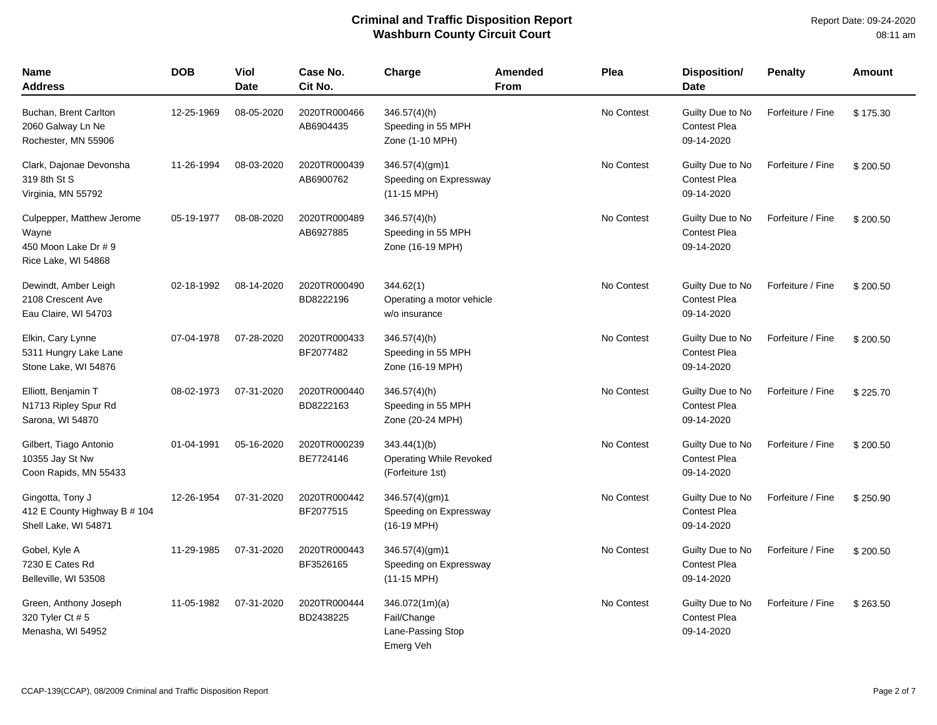| <b>Name</b><br>Address                                                            | <b>DOB</b> | Viol<br><b>Date</b> | Case No.<br>Cit No.       | Charge                                                            | Amended<br><b>From</b> | Plea       | <b>Disposition/</b><br><b>Date</b>                    | <b>Penalty</b>    | Amount   |
|-----------------------------------------------------------------------------------|------------|---------------------|---------------------------|-------------------------------------------------------------------|------------------------|------------|-------------------------------------------------------|-------------------|----------|
| Buchan, Brent Carlton<br>2060 Galway Ln Ne<br>Rochester, MN 55906                 | 12-25-1969 | 08-05-2020          | 2020TR000466<br>AB6904435 | $346.57(4)$ (h)<br>Speeding in 55 MPH<br>Zone (1-10 MPH)          |                        | No Contest | Guilty Due to No<br>Contest Plea<br>09-14-2020        | Forfeiture / Fine | \$175.30 |
| Clark, Dajonae Devonsha<br>319 8th St S<br>Virginia, MN 55792                     | 11-26-1994 | 08-03-2020          | 2020TR000439<br>AB6900762 | 346.57(4)(gm)1<br>Speeding on Expressway<br>$(11-15 \text{ MPH})$ |                        | No Contest | Guilty Due to No<br>Contest Plea<br>09-14-2020        | Forfeiture / Fine | \$200.50 |
| Culpepper, Matthew Jerome<br>Wayne<br>450 Moon Lake Dr # 9<br>Rice Lake, WI 54868 | 05-19-1977 | 08-08-2020          | 2020TR000489<br>AB6927885 | $346.57(4)$ (h)<br>Speeding in 55 MPH<br>Zone (16-19 MPH)         |                        | No Contest | Guilty Due to No<br><b>Contest Plea</b><br>09-14-2020 | Forfeiture / Fine | \$200.50 |
| Dewindt, Amber Leigh<br>2108 Crescent Ave<br>Eau Claire, WI 54703                 | 02-18-1992 | 08-14-2020          | 2020TR000490<br>BD8222196 | 344.62(1)<br>Operating a motor vehicle<br>w/o insurance           |                        | No Contest | Guilty Due to No<br><b>Contest Plea</b><br>09-14-2020 | Forfeiture / Fine | \$200.50 |
| Elkin, Cary Lynne<br>5311 Hungry Lake Lane<br>Stone Lake, WI 54876                | 07-04-1978 | 07-28-2020          | 2020TR000433<br>BF2077482 | $346.57(4)$ (h)<br>Speeding in 55 MPH<br>Zone (16-19 MPH)         |                        | No Contest | Guilty Due to No<br><b>Contest Plea</b><br>09-14-2020 | Forfeiture / Fine | \$200.50 |
| Elliott, Benjamin T<br>N1713 Ripley Spur Rd<br>Sarona, WI 54870                   | 08-02-1973 | 07-31-2020          | 2020TR000440<br>BD8222163 | $346.57(4)$ (h)<br>Speeding in 55 MPH<br>Zone (20-24 MPH)         |                        | No Contest | Guilty Due to No<br><b>Contest Plea</b><br>09-14-2020 | Forfeiture / Fine | \$225.70 |
| Gilbert, Tiago Antonio<br>10355 Jay St Nw<br>Coon Rapids, MN 55433                | 01-04-1991 | 05-16-2020          | 2020TR000239<br>BE7724146 | 343.44(1)(b)<br>Operating While Revoked<br>(Forfeiture 1st)       |                        | No Contest | Guilty Due to No<br><b>Contest Plea</b><br>09-14-2020 | Forfeiture / Fine | \$200.50 |
| Gingotta, Tony J<br>412 E County Highway B # 104<br>Shell Lake, WI 54871          | 12-26-1954 | 07-31-2020          | 2020TR000442<br>BF2077515 | 346.57(4)(gm)1<br>Speeding on Expressway<br>(16-19 MPH)           |                        | No Contest | Guilty Due to No<br><b>Contest Plea</b><br>09-14-2020 | Forfeiture / Fine | \$250.90 |
| Gobel, Kyle A<br>7230 E Cates Rd<br>Belleville, WI 53508                          | 11-29-1985 | 07-31-2020          | 2020TR000443<br>BF3526165 | 346.57(4)(gm)1<br>Speeding on Expressway<br>$(11-15 \text{ MPH})$ |                        | No Contest | Guilty Due to No<br><b>Contest Plea</b><br>09-14-2020 | Forfeiture / Fine | \$200.50 |
| Green, Anthony Joseph<br>320 Tyler Ct # 5<br>Menasha, WI 54952                    | 11-05-1982 | 07-31-2020          | 2020TR000444<br>BD2438225 | 346.072(1m)(a)<br>Fail/Change<br>Lane-Passing Stop<br>Emerg Veh   |                        | No Contest | Guilty Due to No<br><b>Contest Plea</b><br>09-14-2020 | Forfeiture / Fine | \$263.50 |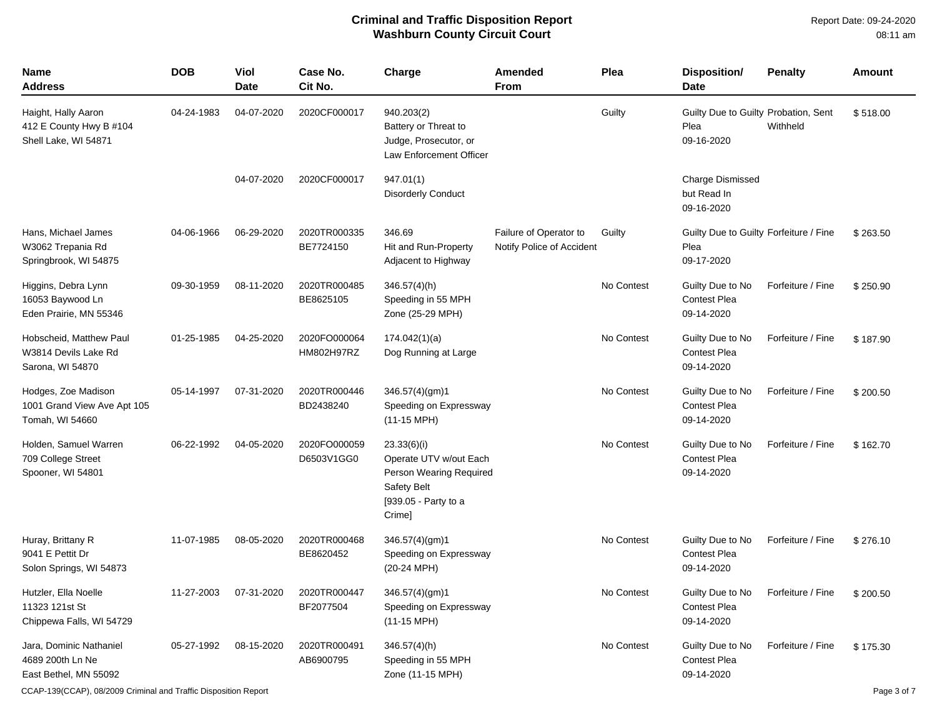| <b>Name</b><br><b>Address</b>                                          | <b>DOB</b> | Viol<br><b>Date</b> | Case No.<br>Cit No.        | Charge                                                                                                                   | Amended<br><b>From</b>                              | Plea       | Disposition/<br><b>Date</b>                                  | <b>Penalty</b>    | <b>Amount</b> |
|------------------------------------------------------------------------|------------|---------------------|----------------------------|--------------------------------------------------------------------------------------------------------------------------|-----------------------------------------------------|------------|--------------------------------------------------------------|-------------------|---------------|
| Haight, Hally Aaron<br>412 E County Hwy B #104<br>Shell Lake, WI 54871 | 04-24-1983 | 04-07-2020          | 2020CF000017               | 940.203(2)<br>Battery or Threat to<br>Judge, Prosecutor, or<br>Law Enforcement Officer                                   |                                                     | Guilty     | Guilty Due to Guilty Probation, Sent<br>Plea<br>09-16-2020   | Withheld          | \$518.00      |
|                                                                        |            | 04-07-2020          | 2020CF000017               | 947.01(1)<br><b>Disorderly Conduct</b>                                                                                   |                                                     |            | <b>Charge Dismissed</b><br>but Read In<br>09-16-2020         |                   |               |
| Hans, Michael James<br>W3062 Trepania Rd<br>Springbrook, WI 54875      | 04-06-1966 | 06-29-2020          | 2020TR000335<br>BE7724150  | 346.69<br>Hit and Run-Property<br>Adjacent to Highway                                                                    | Failure of Operator to<br>Notify Police of Accident | Guilty     | Guilty Due to Guilty Forfeiture / Fine<br>Plea<br>09-17-2020 |                   | \$263.50      |
| Higgins, Debra Lynn<br>16053 Baywood Ln<br>Eden Prairie, MN 55346      | 09-30-1959 | 08-11-2020          | 2020TR000485<br>BE8625105  | $346.57(4)$ (h)<br>Speeding in 55 MPH<br>Zone (25-29 MPH)                                                                |                                                     | No Contest | Guilty Due to No<br><b>Contest Plea</b><br>09-14-2020        | Forfeiture / Fine | \$250.90      |
| Hobscheid, Matthew Paul<br>W3814 Devils Lake Rd<br>Sarona, WI 54870    | 01-25-1985 | 04-25-2020          | 2020FO000064<br>HM802H97RZ | 174.042(1)(a)<br>Dog Running at Large                                                                                    |                                                     | No Contest | Guilty Due to No<br><b>Contest Plea</b><br>09-14-2020        | Forfeiture / Fine | \$187.90      |
| Hodges, Zoe Madison<br>1001 Grand View Ave Apt 105<br>Tomah, WI 54660  | 05-14-1997 | 07-31-2020          | 2020TR000446<br>BD2438240  | 346.57(4)(gm)1<br>Speeding on Expressway<br>$(11-15 \text{ MPH})$                                                        |                                                     | No Contest | Guilty Due to No<br><b>Contest Plea</b><br>09-14-2020        | Forfeiture / Fine | \$200.50      |
| Holden, Samuel Warren<br>709 College Street<br>Spooner, WI 54801       | 06-22-1992 | 04-05-2020          | 2020FO000059<br>D6503V1GG0 | 23.33(6)(i)<br>Operate UTV w/out Each<br>Person Wearing Required<br><b>Safety Belt</b><br>[939.05 - Party to a<br>Crime] |                                                     | No Contest | Guilty Due to No<br><b>Contest Plea</b><br>09-14-2020        | Forfeiture / Fine | \$162.70      |
| Huray, Brittany R<br>9041 E Pettit Dr<br>Solon Springs, WI 54873       | 11-07-1985 | 08-05-2020          | 2020TR000468<br>BE8620452  | 346.57(4)(gm)1<br>Speeding on Expressway<br>$(20-24$ MPH)                                                                |                                                     | No Contest | Guilty Due to No<br><b>Contest Plea</b><br>09-14-2020        | Forfeiture / Fine | \$276.10      |
| Hutzler, Ella Noelle<br>11323 121st St<br>Chippewa Falls, WI 54729     | 11-27-2003 | 07-31-2020          | 2020TR000447<br>BF2077504  | 346.57(4)(gm)1<br>Speeding on Expressway<br>$(11-15 \text{ MPH})$                                                        |                                                     | No Contest | Guilty Due to No<br><b>Contest Plea</b><br>09-14-2020        | Forfeiture / Fine | \$200.50      |
| Jara, Dominic Nathaniel<br>4689 200th Ln Ne<br>East Bethel, MN 55092   | 05-27-1992 | 08-15-2020          | 2020TR000491<br>AB6900795  | 346.57(4)(h)<br>Speeding in 55 MPH<br>Zone (11-15 MPH)                                                                   |                                                     | No Contest | Guilty Due to No<br><b>Contest Plea</b><br>09-14-2020        | Forfeiture / Fine | \$175.30      |

CCAP-139(CCAP), 08/2009 Criminal and Traffic Disposition Report Page 3 of 7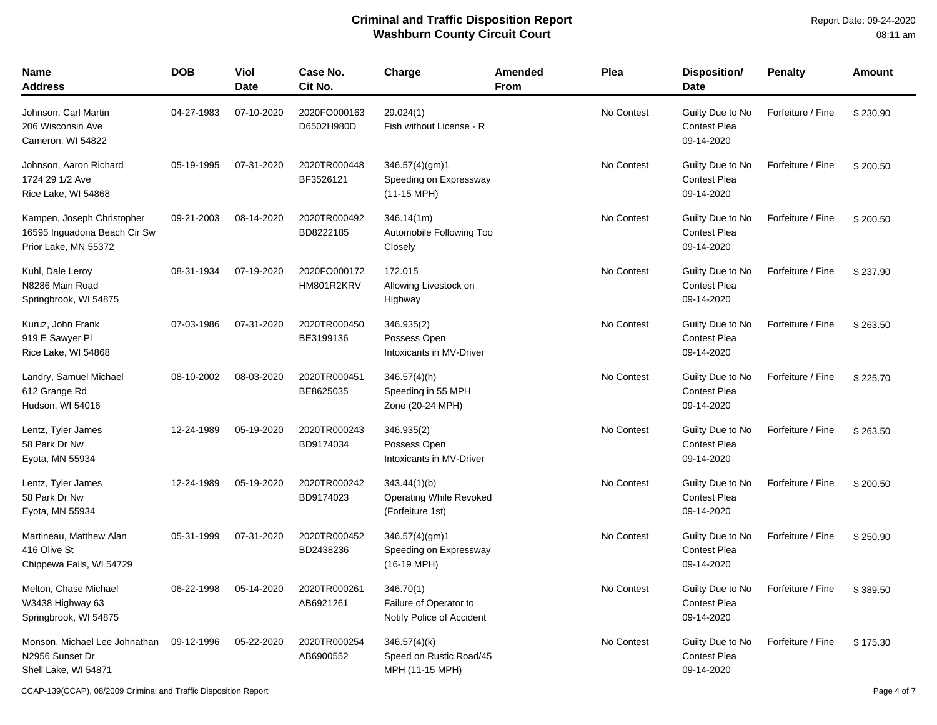| <b>Name</b><br><b>Address</b>                                                      | <b>DOB</b> | Viol<br><b>Date</b> | Case No.<br>Cit No.        | Charge                                                             | <b>Amended</b><br><b>From</b> | Plea       | Disposition/<br><b>Date</b>                           | <b>Penalty</b>    | Amount   |
|------------------------------------------------------------------------------------|------------|---------------------|----------------------------|--------------------------------------------------------------------|-------------------------------|------------|-------------------------------------------------------|-------------------|----------|
| Johnson, Carl Martin<br>206 Wisconsin Ave<br>Cameron, WI 54822                     | 04-27-1983 | 07-10-2020          | 2020FO000163<br>D6502H980D | 29.024(1)<br>Fish without License - R                              |                               | No Contest | Guilty Due to No<br><b>Contest Plea</b><br>09-14-2020 | Forfeiture / Fine | \$230.90 |
| Johnson, Aaron Richard<br>1724 29 1/2 Ave<br>Rice Lake, WI 54868                   | 05-19-1995 | 07-31-2020          | 2020TR000448<br>BF3526121  | 346.57(4)(gm)1<br>Speeding on Expressway<br>$(11-15 \text{ MPH})$  |                               | No Contest | Guilty Due to No<br><b>Contest Plea</b><br>09-14-2020 | Forfeiture / Fine | \$200.50 |
| Kampen, Joseph Christopher<br>16595 Inguadona Beach Cir Sw<br>Prior Lake, MN 55372 | 09-21-2003 | 08-14-2020          | 2020TR000492<br>BD8222185  | 346.14(1m)<br>Automobile Following Too<br>Closely                  |                               | No Contest | Guilty Due to No<br><b>Contest Plea</b><br>09-14-2020 | Forfeiture / Fine | \$200.50 |
| Kuhl, Dale Leroy<br>N8286 Main Road<br>Springbrook, WI 54875                       | 08-31-1934 | 07-19-2020          | 2020FO000172<br>HM801R2KRV | 172.015<br>Allowing Livestock on<br>Highway                        |                               | No Contest | Guilty Due to No<br><b>Contest Plea</b><br>09-14-2020 | Forfeiture / Fine | \$237.90 |
| Kuruz, John Frank<br>919 E Sawyer Pl<br>Rice Lake, WI 54868                        | 07-03-1986 | 07-31-2020          | 2020TR000450<br>BE3199136  | 346.935(2)<br>Possess Open<br>Intoxicants in MV-Driver             |                               | No Contest | Guilty Due to No<br><b>Contest Plea</b><br>09-14-2020 | Forfeiture / Fine | \$263.50 |
| Landry, Samuel Michael<br>612 Grange Rd<br>Hudson, WI 54016                        | 08-10-2002 | 08-03-2020          | 2020TR000451<br>BE8625035  | $346.57(4)$ (h)<br>Speeding in 55 MPH<br>Zone (20-24 MPH)          |                               | No Contest | Guilty Due to No<br><b>Contest Plea</b><br>09-14-2020 | Forfeiture / Fine | \$225.70 |
| Lentz, Tyler James<br>58 Park Dr Nw<br>Eyota, MN 55934                             | 12-24-1989 | 05-19-2020          | 2020TR000243<br>BD9174034  | 346.935(2)<br>Possess Open<br>Intoxicants in MV-Driver             |                               | No Contest | Guilty Due to No<br><b>Contest Plea</b><br>09-14-2020 | Forfeiture / Fine | \$263.50 |
| Lentz, Tyler James<br>58 Park Dr Nw<br>Eyota, MN 55934                             | 12-24-1989 | 05-19-2020          | 2020TR000242<br>BD9174023  | 343.44(1)(b)<br><b>Operating While Revoked</b><br>(Forfeiture 1st) |                               | No Contest | Guilty Due to No<br><b>Contest Plea</b><br>09-14-2020 | Forfeiture / Fine | \$200.50 |
| Martineau, Matthew Alan<br>416 Olive St<br>Chippewa Falls, WI 54729                | 05-31-1999 | 07-31-2020          | 2020TR000452<br>BD2438236  | 346.57(4)(gm)1<br>Speeding on Expressway<br>$(16-19 \text{ MPH})$  |                               | No Contest | Guilty Due to No<br><b>Contest Plea</b><br>09-14-2020 | Forfeiture / Fine | \$250.90 |
| Melton, Chase Michael<br>W3438 Highway 63<br>Springbrook, WI 54875                 | 06-22-1998 | 05-14-2020          | 2020TR000261<br>AB6921261  | 346.70(1)<br>Failure of Operator to<br>Notify Police of Accident   |                               | No Contest | Guilty Due to No<br><b>Contest Plea</b><br>09-14-2020 | Forfeiture / Fine | \$389.50 |
| Monson, Michael Lee Johnathan<br>N2956 Sunset Dr<br>Shell Lake, WI 54871           | 09-12-1996 | 05-22-2020          | 2020TR000254<br>AB6900552  | $346.57(4)$ (k)<br>Speed on Rustic Road/45<br>MPH (11-15 MPH)      |                               | No Contest | Guilty Due to No<br><b>Contest Plea</b><br>09-14-2020 | Forfeiture / Fine | \$175.30 |

CCAP-139(CCAP), 08/2009 Criminal and Traffic Disposition Report Page 4 of 7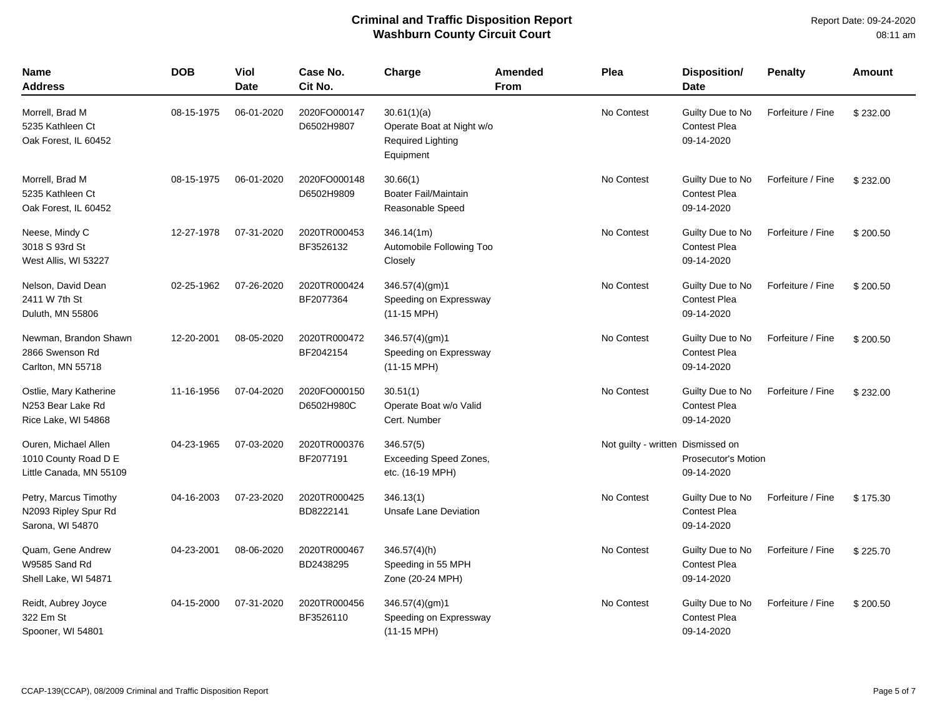| <b>Name</b><br>Address                                                  | <b>DOB</b> | Viol<br>Date | Case No.<br>Cit No.        | Charge                                                                     | Amended<br><b>From</b> | Plea                              | <b>Disposition/</b><br>Date                           | <b>Penalty</b>    | <b>Amount</b> |
|-------------------------------------------------------------------------|------------|--------------|----------------------------|----------------------------------------------------------------------------|------------------------|-----------------------------------|-------------------------------------------------------|-------------------|---------------|
| Morrell, Brad M<br>5235 Kathleen Ct<br>Oak Forest, IL 60452             | 08-15-1975 | 06-01-2020   | 2020FO000147<br>D6502H9807 | 30.61(1)(a)<br>Operate Boat at Night w/o<br>Required Lighting<br>Equipment |                        | No Contest                        | Guilty Due to No<br><b>Contest Plea</b><br>09-14-2020 | Forfeiture / Fine | \$232.00      |
| Morrell, Brad M<br>5235 Kathleen Ct<br>Oak Forest, IL 60452             | 08-15-1975 | 06-01-2020   | 2020FO000148<br>D6502H9809 | 30.66(1)<br><b>Boater Fail/Maintain</b><br>Reasonable Speed                |                        | No Contest                        | Guilty Due to No<br>Contest Plea<br>09-14-2020        | Forfeiture / Fine | \$232.00      |
| Neese, Mindy C<br>3018 S 93rd St<br>West Allis, WI 53227                | 12-27-1978 | 07-31-2020   | 2020TR000453<br>BF3526132  | 346.14(1m)<br>Automobile Following Too<br>Closely                          |                        | No Contest                        | Guilty Due to No<br><b>Contest Plea</b><br>09-14-2020 | Forfeiture / Fine | \$200.50      |
| Nelson, David Dean<br>2411 W 7th St<br>Duluth, MN 55806                 | 02-25-1962 | 07-26-2020   | 2020TR000424<br>BF2077364  | 346.57(4)(gm)1<br>Speeding on Expressway<br>(11-15 MPH)                    |                        | No Contest                        | Guilty Due to No<br><b>Contest Plea</b><br>09-14-2020 | Forfeiture / Fine | \$200.50      |
| Newman, Brandon Shawn<br>2866 Swenson Rd<br>Carlton, MN 55718           | 12-20-2001 | 08-05-2020   | 2020TR000472<br>BF2042154  | 346.57(4)(gm)1<br>Speeding on Expressway<br>$(11-15 \text{ MPH})$          |                        | No Contest                        | Guilty Due to No<br><b>Contest Plea</b><br>09-14-2020 | Forfeiture / Fine | \$200.50      |
| Ostlie, Mary Katherine<br>N253 Bear Lake Rd<br>Rice Lake, WI 54868      | 11-16-1956 | 07-04-2020   | 2020FO000150<br>D6502H980C | 30.51(1)<br>Operate Boat w/o Valid<br>Cert. Number                         |                        | No Contest                        | Guilty Due to No<br><b>Contest Plea</b><br>09-14-2020 | Forfeiture / Fine | \$232.00      |
| Ouren, Michael Allen<br>1010 County Road D E<br>Little Canada, MN 55109 | 04-23-1965 | 07-03-2020   | 2020TR000376<br>BF2077191  | 346.57(5)<br><b>Exceeding Speed Zones,</b><br>etc. (16-19 MPH)             |                        | Not guilty - written Dismissed on | <b>Prosecutor's Motion</b><br>09-14-2020              |                   |               |
| Petry, Marcus Timothy<br>N2093 Ripley Spur Rd<br>Sarona, WI 54870       | 04-16-2003 | 07-23-2020   | 2020TR000425<br>BD8222141  | 346.13(1)<br><b>Unsafe Lane Deviation</b>                                  |                        | No Contest                        | Guilty Due to No<br><b>Contest Plea</b><br>09-14-2020 | Forfeiture / Fine | \$175.30      |
| Quam, Gene Andrew<br>W9585 Sand Rd<br>Shell Lake, WI 54871              | 04-23-2001 | 08-06-2020   | 2020TR000467<br>BD2438295  | 346.57(4)(h)<br>Speeding in 55 MPH<br>Zone (20-24 MPH)                     |                        | No Contest                        | Guilty Due to No<br><b>Contest Plea</b><br>09-14-2020 | Forfeiture / Fine | \$225.70      |
| Reidt, Aubrey Joyce<br>322 Em St<br>Spooner, WI 54801                   | 04-15-2000 | 07-31-2020   | 2020TR000456<br>BF3526110  | 346.57(4)(gm)1<br>Speeding on Expressway<br>$(11-15 \text{ MPH})$          |                        | No Contest                        | Guilty Due to No<br>Contest Plea<br>09-14-2020        | Forfeiture / Fine | \$200.50      |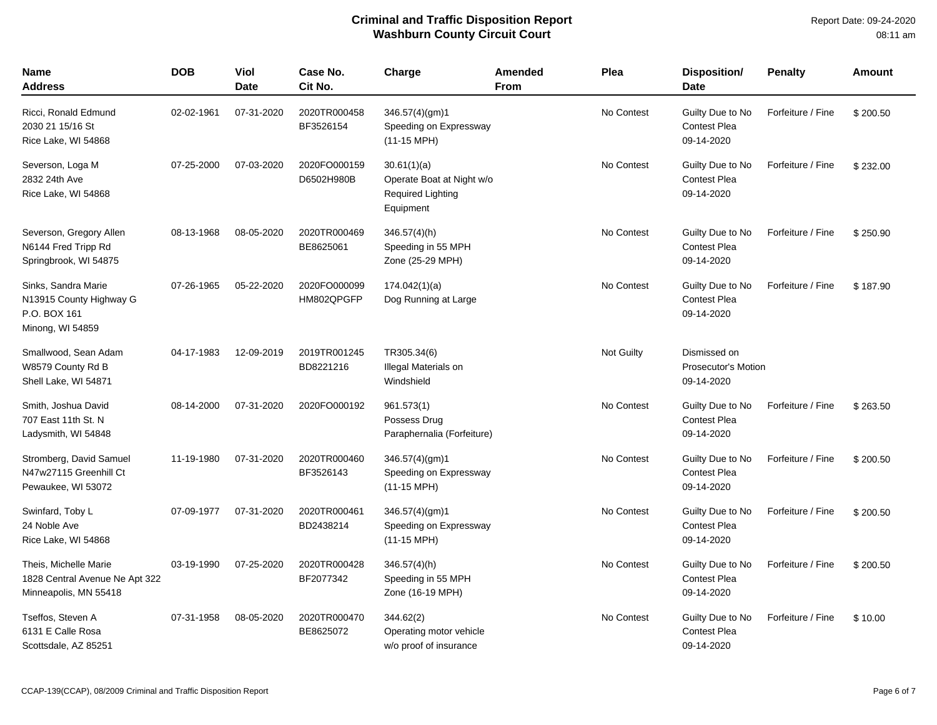| Name<br><b>Address</b>                                                             | <b>DOB</b> | Viol<br><b>Date</b> | Case No.<br>Cit No.        | Charge                                                                     | <b>Amended</b><br><b>From</b> | Plea       | <b>Disposition/</b><br><b>Date</b>                       | <b>Penalty</b>    | Amount   |
|------------------------------------------------------------------------------------|------------|---------------------|----------------------------|----------------------------------------------------------------------------|-------------------------------|------------|----------------------------------------------------------|-------------------|----------|
| Ricci, Ronald Edmund<br>2030 21 15/16 St<br>Rice Lake, WI 54868                    | 02-02-1961 | 07-31-2020          | 2020TR000458<br>BF3526154  | 346.57(4)(gm)1<br>Speeding on Expressway<br>$(11-15 \text{ MPH})$          |                               | No Contest | Guilty Due to No<br><b>Contest Plea</b><br>09-14-2020    | Forfeiture / Fine | \$200.50 |
| Severson, Loga M<br>2832 24th Ave<br>Rice Lake, WI 54868                           | 07-25-2000 | 07-03-2020          | 2020FO000159<br>D6502H980B | 30.61(1)(a)<br>Operate Boat at Night w/o<br>Required Lighting<br>Equipment |                               | No Contest | Guilty Due to No<br><b>Contest Plea</b><br>09-14-2020    | Forfeiture / Fine | \$232.00 |
| Severson, Gregory Allen<br>N6144 Fred Tripp Rd<br>Springbrook, WI 54875            | 08-13-1968 | 08-05-2020          | 2020TR000469<br>BE8625061  | 346.57(4)(h)<br>Speeding in 55 MPH<br>Zone (25-29 MPH)                     |                               | No Contest | Guilty Due to No<br><b>Contest Plea</b><br>09-14-2020    | Forfeiture / Fine | \$250.90 |
| Sinks, Sandra Marie<br>N13915 County Highway G<br>P.O. BOX 161<br>Minong, WI 54859 | 07-26-1965 | 05-22-2020          | 2020FO000099<br>HM802QPGFP | 174.042(1)(a)<br>Dog Running at Large                                      |                               | No Contest | Guilty Due to No<br><b>Contest Plea</b><br>09-14-2020    | Forfeiture / Fine | \$187.90 |
| Smallwood, Sean Adam<br>W8579 County Rd B<br>Shell Lake, WI 54871                  | 04-17-1983 | 12-09-2019          | 2019TR001245<br>BD8221216  | TR305.34(6)<br>Illegal Materials on<br>Windshield                          |                               | Not Guilty | Dismissed on<br><b>Prosecutor's Motion</b><br>09-14-2020 |                   |          |
| Smith, Joshua David<br>707 East 11th St. N<br>Ladysmith, WI 54848                  | 08-14-2000 | 07-31-2020          | 2020FO000192               | 961.573(1)<br>Possess Drug<br>Paraphernalia (Forfeiture)                   |                               | No Contest | Guilty Due to No<br><b>Contest Plea</b><br>09-14-2020    | Forfeiture / Fine | \$263.50 |
| Stromberg, David Samuel<br>N47w27115 Greenhill Ct<br>Pewaukee, WI 53072            | 11-19-1980 | 07-31-2020          | 2020TR000460<br>BF3526143  | 346.57(4)(gm)1<br>Speeding on Expressway<br>$(11-15 \text{ MPH})$          |                               | No Contest | Guilty Due to No<br><b>Contest Plea</b><br>09-14-2020    | Forfeiture / Fine | \$200.50 |
| Swinfard, Toby L<br>24 Noble Ave<br>Rice Lake, WI 54868                            | 07-09-1977 | 07-31-2020          | 2020TR000461<br>BD2438214  | 346.57(4)(gm)1<br>Speeding on Expressway<br>$(11-15 \text{ MPH})$          |                               | No Contest | Guilty Due to No<br><b>Contest Plea</b><br>09-14-2020    | Forfeiture / Fine | \$200.50 |
| Theis, Michelle Marie<br>1828 Central Avenue Ne Apt 322<br>Minneapolis, MN 55418   | 03-19-1990 | 07-25-2020          | 2020TR000428<br>BF2077342  | $346.57(4)$ (h)<br>Speeding in 55 MPH<br>Zone (16-19 MPH)                  |                               | No Contest | Guilty Due to No<br><b>Contest Plea</b><br>09-14-2020    | Forfeiture / Fine | \$200.50 |
| Tseffos, Steven A<br>6131 E Calle Rosa<br>Scottsdale, AZ 85251                     | 07-31-1958 | 08-05-2020          | 2020TR000470<br>BE8625072  | 344.62(2)<br>Operating motor vehicle<br>w/o proof of insurance             |                               | No Contest | Guilty Due to No<br><b>Contest Plea</b><br>09-14-2020    | Forfeiture / Fine | \$10.00  |